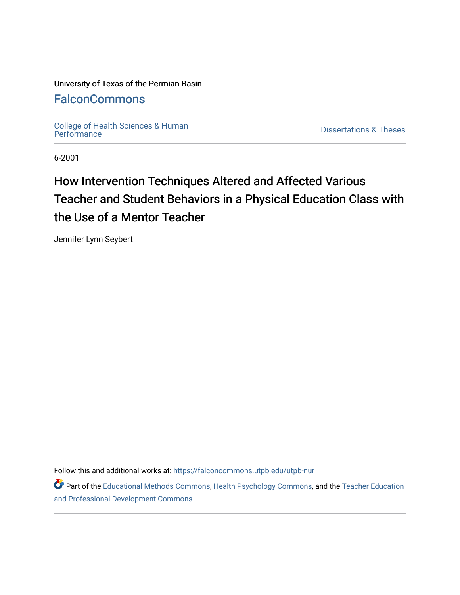#### University of Texas of the Permian Basin

### [FalconCommons](https://falconcommons.utpb.edu/)

College of Health Sciences & Human<br>Performance

**Dissertations & Theses** 

6-2001

### How Intervention Techniques Altered and Affected Various Teacher and Student Behaviors in a Physical Education Class with the Use of a Mentor Teacher

Jennifer Lynn Seybert

Follow this and additional works at: [https://falconcommons.utpb.edu/utpb-nur](https://falconcommons.utpb.edu/utpb-nur?utm_source=falconcommons.utpb.edu%2Futpb-nur%2F28&utm_medium=PDF&utm_campaign=PDFCoverPages) 

Part of the [Educational Methods Commons,](http://network.bepress.com/hgg/discipline/1227?utm_source=falconcommons.utpb.edu%2Futpb-nur%2F28&utm_medium=PDF&utm_campaign=PDFCoverPages) [Health Psychology Commons](http://network.bepress.com/hgg/discipline/411?utm_source=falconcommons.utpb.edu%2Futpb-nur%2F28&utm_medium=PDF&utm_campaign=PDFCoverPages), and the [Teacher Education](http://network.bepress.com/hgg/discipline/803?utm_source=falconcommons.utpb.edu%2Futpb-nur%2F28&utm_medium=PDF&utm_campaign=PDFCoverPages)  [and Professional Development Commons](http://network.bepress.com/hgg/discipline/803?utm_source=falconcommons.utpb.edu%2Futpb-nur%2F28&utm_medium=PDF&utm_campaign=PDFCoverPages)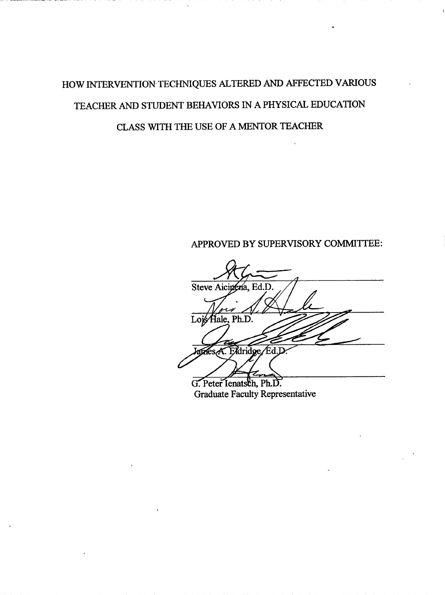## HOW INTERVENTION TECHNIQUES ALTERED AND AFFECTED VARIOUS TEACHER AND STUDENT BEHAVIORS IN A PHYSICAL EDUCATION CLASS WITH THE USE OF A MENTOR TEACHER

### APPROVED BY SUPERVISORY COMMITTEE:

Steve Aicinena, Ed.D Lois Hale, Ph.D. Agres A. Eldridge / Ed. L

G. Peter Ienatsch, Ph.D. **Graduate Faculty Representative**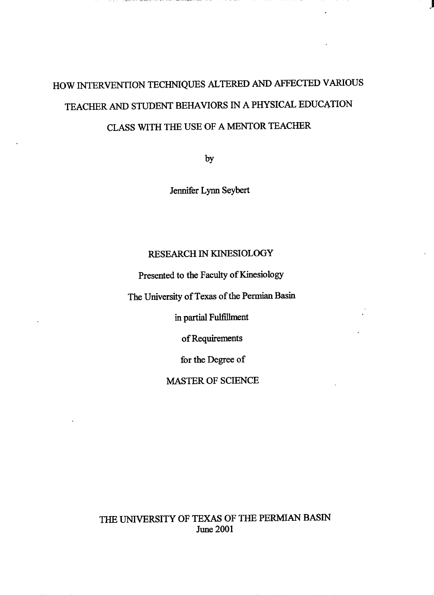# HOW INTERVENTION TECHNIQUES ALTERED AND AFFECTED VARIOUS TEACHER AND STUDENT BEHAVIORS IN A PHYSICAL EDUCATION CLASS WITH THE USE OF A MENTOR TEACHER

a membra del color dell'estato di controllatore in composi-

by

Jennifer Lynn Seybert

#### RESEARCH IN KINESIOLOGY

Presented to the Faculty of Kinesiology

The University of Texas of the Permian Basin

in partial Fulfillment

of Requirements

for the Degree of

MASTER OF SCIENCE

THE UNIVERSITY OF TEXAS OF THE PERMIAN BASIN June 2001